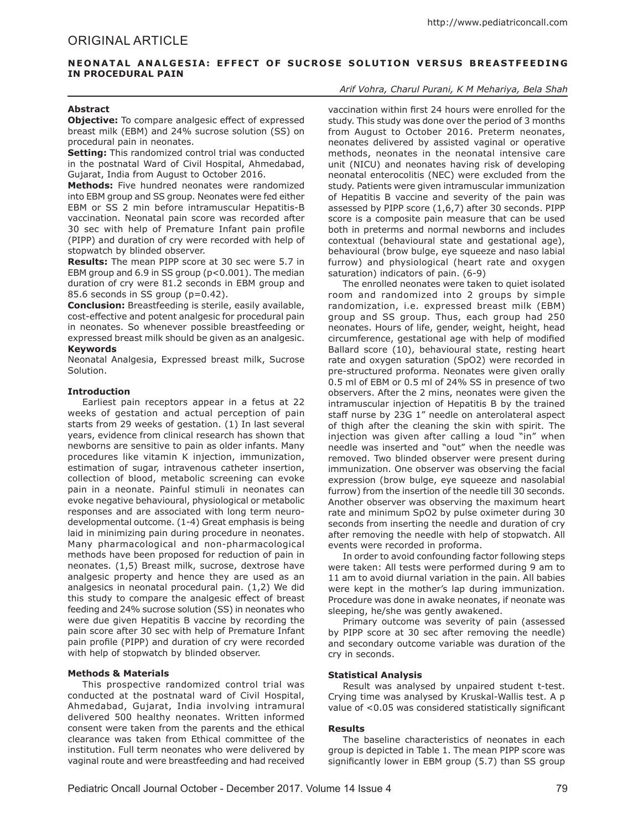# **NEONATAL ANALGESIA: EFFECT OF SUCROSE SOLUTION VERSUS BREASTFEEDING IN PROCEDURAL PAIN**

## **Abstract**

**Objective:** To compare analgesic effect of expressed breast milk (EBM) and 24% sucrose solution (SS) on procedural pain in neonates.

**Setting:** This randomized control trial was conducted in the postnatal Ward of Civil Hospital, Ahmedabad, Gujarat, India from August to October 2016.

**Methods:** Five hundred neonates were randomized into EBM group and SS group. Neonates were fed either EBM or SS 2 min before intramuscular Hepatitis-B vaccination. Neonatal pain score was recorded after 30 sec with help of Premature Infant pain profile (PIPP) and duration of cry were recorded with help of stopwatch by blinded observer.

**Results:** The mean PIPP score at 30 sec were 5.7 in EBM group and 6.9 in SS group (p<0.001). The median duration of cry were 81.2 seconds in EBM group and 85.6 seconds in SS group (p=0.42).

**Conclusion:** Breastfeeding is sterile, easily available, cost-effective and potent analgesic for procedural pain in neonates. So whenever possible breastfeeding or expressed breast milk should be given as an analgesic. **Keywords**

Neonatal Analgesia, Expressed breast milk, Sucrose Solution.

## **Introduction**

Earliest pain receptors appear in a fetus at 22 weeks of gestation and actual perception of pain starts from 29 weeks of gestation. (1) In last several years, evidence from clinical research has shown that newborns are sensitive to pain as older infants. Many procedures like vitamin K injection, immunization, estimation of sugar, intravenous catheter insertion, collection of blood, metabolic screening can evoke pain in a neonate. Painful stimuli in neonates can evoke negative behavioural, physiological or metabolic responses and are associated with long term neurodevelopmental outcome. (1-4) Great emphasis is being laid in minimizing pain during procedure in neonates. Many pharmacological and non-pharmacological methods have been proposed for reduction of pain in neonates. (1,5) Breast milk, sucrose, dextrose have analgesic property and hence they are used as an analgesics in neonatal procedural pain. (1,2) We did this study to compare the analgesic effect of breast feeding and 24% sucrose solution (SS) in neonates who were due given Hepatitis B vaccine by recording the pain score after 30 sec with help of Premature Infant pain profile (PIPP) and duration of cry were recorded with help of stopwatch by blinded observer.

## **Methods & Materials**

This prospective randomized control trial was conducted at the postnatal ward of Civil Hospital, Ahmedabad, Gujarat, India involving intramural delivered 500 healthy neonates. Written informed consent were taken from the parents and the ethical clearance was taken from Ethical committee of the institution. Full term neonates who were delivered by vaginal route and were breastfeeding and had received

# *Arif Vohra, Charul Purani, K M Mehariya, Bela Shah*

vaccination within first 24 hours were enrolled for the study. This study was done over the period of 3 months from August to October 2016. Preterm neonates, neonates delivered by assisted vaginal or operative methods, neonates in the neonatal intensive care unit (NICU) and neonates having risk of developing neonatal enterocolitis (NEC) were excluded from the study. Patients were given intramuscular immunization of Hepatitis B vaccine and severity of the pain was assessed by PIPP score (1,6,7) after 30 seconds. PIPP score is a composite pain measure that can be used both in preterms and normal newborns and includes contextual (behavioural state and gestational age), behavioural (brow bulge, eye squeeze and naso labial furrow) and physiological (heart rate and oxygen saturation) indicators of pain. (6-9)

The enrolled neonates were taken to quiet isolated room and randomized into 2 groups by simple randomization, i.e. expressed breast milk (EBM) group and SS group. Thus, each group had 250 neonates. Hours of life, gender, weight, height, head circumference, gestational age with help of modified Ballard score (10), behavioural state, resting heart rate and oxygen saturation (SpO2) were recorded in pre-structured proforma. Neonates were given orally 0.5 ml of EBM or 0.5 ml of 24% SS in presence of two observers. After the 2 mins, neonates were given the intramuscular injection of Hepatitis B by the trained staff nurse by 23G 1" needle on anterolateral aspect of thigh after the cleaning the skin with spirit. The injection was given after calling a loud "in" when needle was inserted and "out" when the needle was removed. Two blinded observer were present during immunization. One observer was observing the facial expression (brow bulge, eye squeeze and nasolabial furrow) from the insertion of the needle till 30 seconds. Another observer was observing the maximum heart rate and minimum SpO2 by pulse oximeter during 30 seconds from inserting the needle and duration of cry after removing the needle with help of stopwatch. All events were recorded in proforma.

In order to avoid confounding factor following steps were taken: All tests were performed during 9 am to 11 am to avoid diurnal variation in the pain. All babies were kept in the mother's lap during immunization. Procedure was done in awake neonates, if neonate was sleeping, he/she was gently awakened.

Primary outcome was severity of pain (assessed by PIPP score at 30 sec after removing the needle) and secondary outcome variable was duration of the cry in seconds.

## **Statistical Analysis**

Result was analysed by unpaired student t-test. Crying time was analysed by Kruskal-Wallis test. A p value of <0.05 was considered statistically significant

## **Results**

The baseline characteristics of neonates in each group is depicted in Table 1. The mean PIPP score was significantly lower in EBM group (5.7) than SS group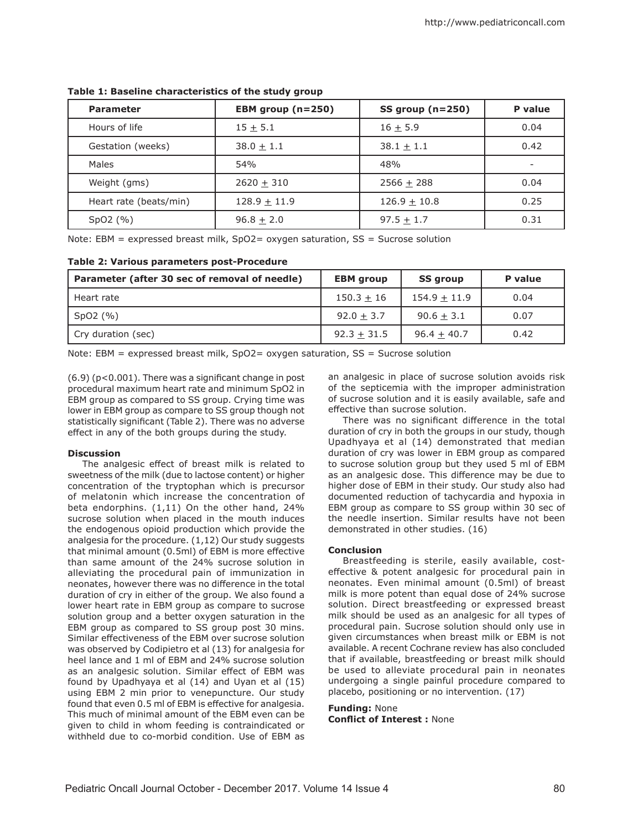| <b>Parameter</b>       | EBM group $(n=250)$ | $SS$ group (n=250) | P value |
|------------------------|---------------------|--------------------|---------|
| Hours of life          | $15 + 5.1$          | $16 + 5.9$         | 0.04    |
| Gestation (weeks)      | $38.0 + 1.1$        | $38.1 + 1.1$       | 0.42    |
| Males                  | 54%                 | 48%                |         |
| Weight (gms)           | $2620 + 310$        | $2566 + 288$       | 0.04    |
| Heart rate (beats/min) | $128.9 \pm 11.9$    | $126.9 \pm 10.8$   | 0.25    |
| SpO2(%)                | $96.8 + 2.0$        | $97.5 + 1.7$       | 0.31    |

# **Table 1: Baseline characteristics of the study group**

Note: EBM = expressed breast milk, SpO2= oxygen saturation, SS = Sucrose solution

# **Table 2: Various parameters post-Procedure**

| Parameter (after 30 sec of removal of needle) | <b>EBM</b> group | <b>SS group</b> | P value |
|-----------------------------------------------|------------------|-----------------|---------|
| Heart rate                                    | $150.3 + 16$     | $154.9 + 11.9$  | 0.04    |
| Spo2(%)                                       | $92.0 + 3.7$     | $90.6 + 3.1$    | 0.07    |
| Cry duration (sec)                            | $92.3 + 31.5$    | $96.4 + 40.7$   | 0.42    |

Note: EBM = expressed breast milk, SpO2= oxygen saturation, SS = Sucrose solution

(6.9) (p<0.001). There was a significant change in post procedural maximum heart rate and minimum SpO2 in EBM group as compared to SS group. Crying time was lower in EBM group as compare to SS group though not statistically significant (Table 2). There was no adverse effect in any of the both groups during the study.

# **Discussion**

The analgesic effect of breast milk is related to sweetness of the milk (due to lactose content) or higher concentration of the tryptophan which is precursor of melatonin which increase the concentration of beta endorphins. (1,11) On the other hand, 24% sucrose solution when placed in the mouth induces the endogenous opioid production which provide the analgesia for the procedure. (1,12) Our study suggests that minimal amount (0.5ml) of EBM is more effective than same amount of the 24% sucrose solution in alleviating the procedural pain of immunization in neonates, however there was no difference in the total duration of cry in either of the group. We also found a lower heart rate in EBM group as compare to sucrose solution group and a better oxygen saturation in the EBM group as compared to SS group post 30 mins. Similar effectiveness of the EBM over sucrose solution was observed by Codipietro et al (13) for analgesia for heel lance and 1 ml of EBM and 24% sucrose solution as an analgesic solution. Similar effect of EBM was found by Upadhyaya et al (14) and Uyan et al (15) using EBM 2 min prior to venepuncture. Our study found that even 0.5 ml of EBM is effective for analgesia. This much of minimal amount of the EBM even can be given to child in whom feeding is contraindicated or withheld due to co-morbid condition. Use of EBM as an analgesic in place of sucrose solution avoids risk of the septicemia with the improper administration of sucrose solution and it is easily available, safe and effective than sucrose solution.

There was no significant difference in the total duration of cry in both the groups in our study, though Upadhyaya et al (14) demonstrated that median duration of cry was lower in EBM group as compared to sucrose solution group but they used 5 ml of EBM as an analgesic dose. This difference may be due to higher dose of EBM in their study. Our study also had documented reduction of tachycardia and hypoxia in EBM group as compare to SS group within 30 sec of the needle insertion. Similar results have not been demonstrated in other studies. (16)

# **Conclusion**

Breastfeeding is sterile, easily available, costeffective & potent analgesic for procedural pain in neonates. Even minimal amount (0.5ml) of breast milk is more potent than equal dose of 24% sucrose solution. Direct breastfeeding or expressed breast milk should be used as an analgesic for all types of procedural pain. Sucrose solution should only use in given circumstances when breast milk or EBM is not available. A recent Cochrane review has also concluded that if available, breastfeeding or breast milk should be used to alleviate procedural pain in neonates undergoing a single painful procedure compared to placebo, positioning or no intervention. (17)

## **Funding:** None

**Conflict of Interest :** None